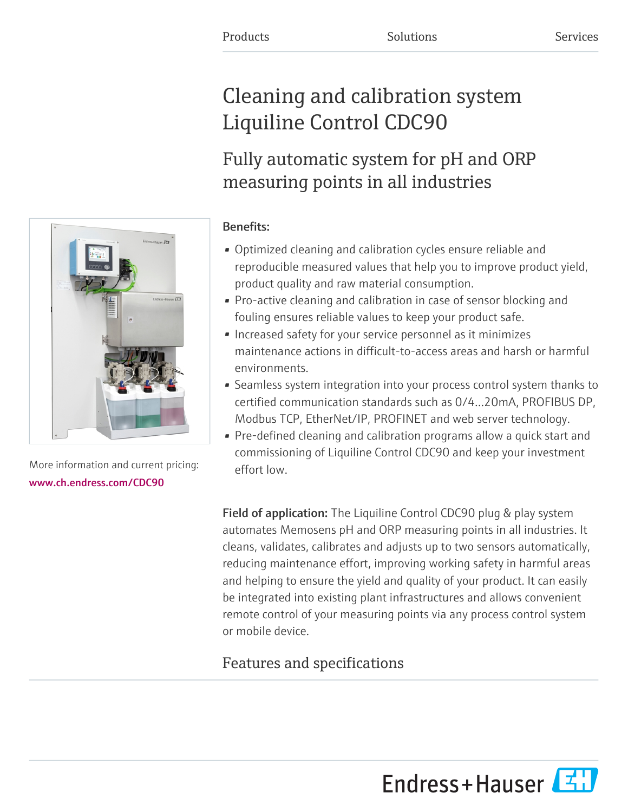# Cleaning and calibration system Liquiline Control CDC90

## Fully automatic system for pH and ORP measuring points in all industries

### Benefits:

- Optimized cleaning and calibration cycles ensure reliable and reproducible measured values that help you to improve product yield, product quality and raw material consumption.
- Pro-active cleaning and calibration in case of sensor blocking and fouling ensures reliable values to keep your product safe.
- Increased safety for your service personnel as it minimizes maintenance actions in difficult-to-access areas and harsh or harmful environments.
- Seamless system integration into your process control system thanks to certified communication standards such as 0/4…20mA, PROFIBUS DP, Modbus TCP, EtherNet/IP, PROFINET and web server technology.
- Pre-defined cleaning and calibration programs allow a quick start and commissioning of Liquiline Control CDC90 and keep your investment effort low.

Field of application: The Liquiline Control CDC90 plug & play system automates Memosens pH and ORP measuring points in all industries. It cleans, validates, calibrates and adjusts up to two sensors automatically, reducing maintenance effort, improving working safety in harmful areas and helping to ensure the yield and quality of your product. It can easily be integrated into existing plant infrastructures and allows convenient remote control of your measuring points via any process control system or mobile device.

## Features and specifications